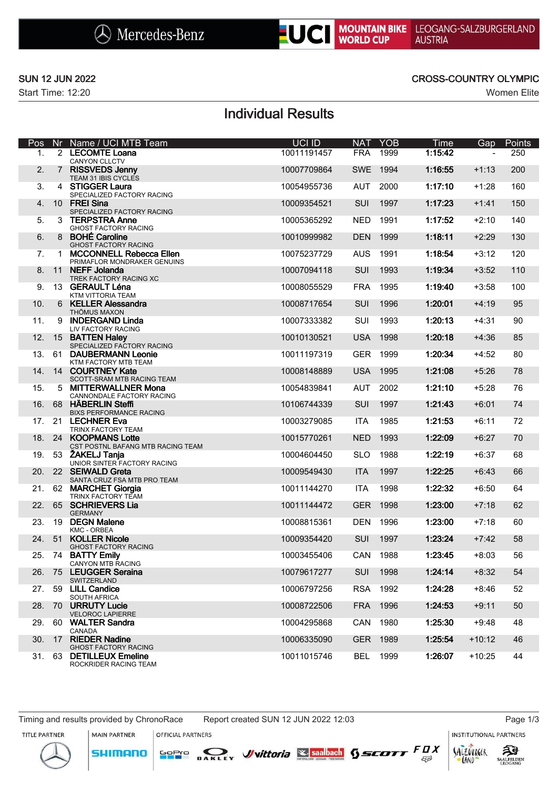



Start Time: 12:20 Women Elite

### SUN 12 JUN 2022 CROSS-COUNTRY OLYMPIC

## Individual Results

| Pos |              | Nr Name / UCI MTB Team                                        | <b>UCI ID</b> | <b>NAT</b> | <b>YOB</b> | Time    | Gap                      | <b>Points</b> |
|-----|--------------|---------------------------------------------------------------|---------------|------------|------------|---------|--------------------------|---------------|
| 1.  |              | 2 LECOMTE Loana<br>CANYON CLLCTV                              | 10011191457   | <b>FRA</b> | 1999       | 1:15:42 | $\overline{\phantom{a}}$ | 250           |
| 2.  |              | 7 RISSVEDS Jenny<br>TEAM 31 IBIS CYCLES                       | 10007709864   | <b>SWE</b> | 1994       | 1:16:55 | $+1:13$                  | 200           |
| 3.  |              | 4 STIGGER Laura<br>SPECIALIZED FACTORY RACING                 | 10054955736   | <b>AUT</b> | 2000       | 1:17:10 | $+1:28$                  | 160           |
| 4.  |              | 10 FREI Sina<br>SPECIALIZED FACTORY RACING                    | 10009354521   | SUI        | 1997       | 1:17:23 | $+1:41$                  | 150           |
| 5.  | 3            | <b>TERPSTRA Anne</b><br><b>GHOST FACTORY RACING</b>           | 10005365292   | <b>NED</b> | 1991       | 1:17:52 | $+2:10$                  | 140           |
| 6.  |              | 8 BOHÉ Caroline<br><b>GHOST FACTORY RACING</b>                | 10010999982   | <b>DEN</b> | 1999       | 1:18:11 | $+2:29$                  | 130           |
| 7.  | $\mathbf{1}$ | <b>MCCONNELL Rebecca Ellen</b><br>PRIMAFLOR MONDRAKER GENUINS | 10075237729   | <b>AUS</b> | 1991       | 1:18:54 | $+3:12$                  | 120           |
| 8.  |              | 11 NEFF Jolanda<br>TREK FACTORY RACING XC                     | 10007094118   | SUI        | 1993       | 1:19:34 | $+3:52$                  | 110           |
| 9.  |              | 13 GERAULT Léna<br>KTM VITTORIA TEAM                          | 10008055529   | <b>FRA</b> | 1995       | 1:19:40 | $+3:58$                  | 100           |
| 10. |              | 6 KELLER Alessandra<br>THÖMUS MAXON                           | 10008717654   | SUI        | 1996       | 1:20:01 | $+4:19$                  | 95            |
| 11. | 9            | <b>INDERGAND Linda</b><br>LIV FACTORY RACING                  | 10007333382   | SUI        | 1993       | 1:20:13 | $+4:31$                  | 90            |
| 12. |              | 15 BATTEN Haley<br>SPECIALIZED FACTORY RACING                 | 10010130521   | <b>USA</b> | 1998       | 1:20:18 | $+4:36$                  | 85            |
| 13. | 61           | <b>DAUBERMANN Leonie</b><br>KTM FACTORY MTB TEAM              | 10011197319   | <b>GER</b> | 1999       | 1:20:34 | $+4:52$                  | 80            |
| 14. |              | 14 COURTNEY Kate<br>SCOTT-SRAM MTB RACING TEAM                | 10008148889   | <b>USA</b> | 1995       | 1:21:08 | $+5:26$                  | 78            |
| 15. |              | 5 MITTERWALLNER Mona<br>CANNONDALE FACTORY RACING             | 10054839841   | <b>AUT</b> | 2002       | 1:21:10 | $+5:28$                  | 76            |
| 16. |              | 68 HÄBERLIN Steffi<br><b>BIXS PERFORMANCE RACING</b>          | 10106744339   | SUI        | 1997       | 1:21:43 | $+6:01$                  | 74            |
| 17. |              | 21 LECHNER Eva<br>TRINX FACTORY TEAM                          | 10003279085   | <b>ITA</b> | 1985       | 1:21:53 | $+6:11$                  | 72            |
| 18. |              | 24 KOOPMANS Lotte<br>CST POSTNL BAFANG MTB RACING TEAM        | 10015770261   | <b>NED</b> | 1993       | 1:22:09 | $+6:27$                  | 70            |
| 19. | 53           | ŽAKELJ Tanja<br>UNIOR SINTER FACTORY RACING                   | 10004604450   | <b>SLO</b> | 1988       | 1:22:19 | $+6:37$                  | 68            |
| 20. |              | 22 SEIWALD Greta<br>SANTA CRUZ FSA MTB PRO TEAM               | 10009549430   | <b>ITA</b> | 1997       | 1:22:25 | $+6:43$                  | 66            |
| 21. |              | 62 MARCHET Giorgia<br>TRINX FACTORY TEAM                      | 10011144270   | <b>ITA</b> | 1998       | 1:22:32 | $+6:50$                  | 64            |
|     |              | 22. 65 SCHRIEVERS Lia<br><b>GERMANY</b>                       | 10011144472   | <b>GER</b> | 1998       | 1:23:00 | $+7:18$                  | 62            |
| 23. | 19           | <b>DEGN Malene</b><br><b>KMC - ORBEA</b>                      | 10008815361   | <b>DEN</b> | 1996       | 1:23:00 | $+7:18$                  | 60            |
|     | 24. 51       | <b>KOLLER Nicole</b><br><b>GHOST FACTORY RACING</b>           | 10009354420   | SUI        | 1997       | 1:23:24 | $+7:42$                  | 58            |
| 25. |              | 74 BATTY Emily<br>CANYON MTB RACING                           | 10003455406   |            | CAN 1988   | 1:23:45 | $+8:03$                  | 56            |
| 26. |              | 75 LEUGGER Seraina<br>SWITZERLAND                             | 10079617277   | SUI        | 1998       | 1:24:14 | $+8:32$                  | 54            |
| 27. |              | 59 LILL Candice<br>SOUTH AFRICA                               | 10006797256   |            | RSA 1992   | 1:24:28 | $+8:46$                  | 52            |
| 28. |              | 70 URRUTY Lucie<br><b>VELOROC LAPIERRE</b>                    | 10008722506   | <b>FRA</b> | 1996       | 1:24:53 | $+9:11$                  | 50            |
| 29. |              | 60 WALTER Sandra<br>CANADA                                    | 10004295868   | CAN        | 1980       | 1:25:30 | $+9:48$                  | 48            |
| 30. |              | 17 RIEDER Nadine<br><b>GHOST FACTORY RACING</b>               | 10006335090   | <b>GER</b> | 1989       | 1:25:54 | $+10:12$                 | 46            |
|     |              | 31. 63 DETILLEUX Emeline<br>ROCKRIDER RACING TEAM             | 10011015746   |            | BEL 1999   | 1:26:07 | $+10:25$                 | 44            |

Timing and results provided by ChronoRace Report created SUN 12 JUN 2022 12:03 Page 1/3

**MAIN PARTNER** 

**SHIMANO** 

**INSTITUTIONAL PARTNERS** 

TITLE PARTNER



OFFICIAL PARTNERS



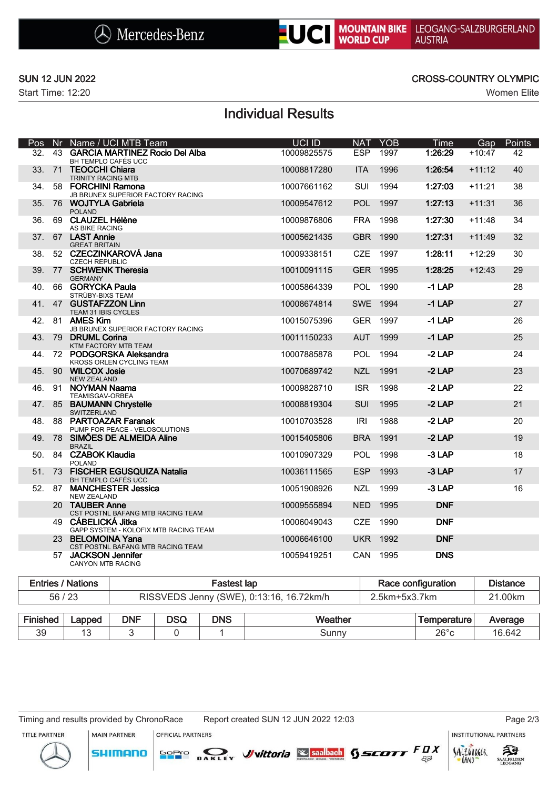



Start Time: 12:20 Women Elite

### SUN 12 JUN 2022 CROSS-COUNTRY OLYMPIC

# Individual Results

| Pos             |    | Nr Name / UCI MTB Team                                         | UCI ID      | <b>NAT</b> | <b>YOB</b> | <b>Time</b> | Gap      | Points |
|-----------------|----|----------------------------------------------------------------|-------------|------------|------------|-------------|----------|--------|
| 32.             | 43 | <b>GARCIA MARTINEZ Rocio Del Alba</b><br>BH TEMPLO CAFÉS UCC   | 10009825575 | <b>ESP</b> | 1997       | 1:26:29     | $+10:47$ | 42     |
| 33.             | 71 | <b>TEOCCHI Chiara</b><br><b>TRINITY RACING MTB</b>             | 10008817280 | <b>ITA</b> | 1996       | 1:26:54     | $+11:12$ | 40     |
| 34.             |    | 58 FORCHINI Ramona<br><b>JB BRUNEX SUPERIOR FACTORY RACING</b> | 10007661162 | SUI        | 1994       | 1:27:03     | $+11:21$ | 38     |
| 35.             |    | 76 WOJTYLA Gabriela<br><b>POLAND</b>                           | 10009547612 | POL        | 1997       | 1:27:13     | $+11:31$ | 36     |
| 36.             |    | 69 CLAUZEL Hélène<br>AS BIKE RACING                            | 10009876806 | <b>FRA</b> | 1998       | 1:27:30     | $+11:48$ | 34     |
| 37 <sub>1</sub> |    | 67 LAST Annie<br><b>GREAT BRITAIN</b>                          | 10005621435 | <b>GBR</b> | 1990       | 1:27:31     | $+11:49$ | 32     |
| 38.             |    | 52 CZECZINKAROVÁ Jana<br><b>CZECH REPUBLIC</b>                 | 10009338151 | <b>CZE</b> | 1997       | 1:28:11     | $+12:29$ | 30     |
| 39.             |    | 77 SCHWENK Theresia<br><b>GERMANY</b>                          | 10010091115 | <b>GER</b> | 1995       | 1:28:25     | $+12:43$ | 29     |
| 40.             |    | 66 GORYCKA Paula<br>STRÜBY-BIXS TEAM                           | 10005864339 | <b>POL</b> | 1990       | $-1$ LAP    |          | 28     |
| 41.             |    | 47 GUSTAFZZON Linn<br>TEAM 31 IBIS CYCLES                      | 10008674814 | <b>SWE</b> | 1994       | $-1$ LAP    |          | 27     |
| 42.             |    | 81 AMES Kim<br>JB BRUNEX SUPERIOR FACTORY RACING               | 10015075396 | <b>GER</b> | 1997       | $-1$ LAP    |          | 26     |
| 43.             |    | 79 DRUML Corina<br>KTM FACTORY MTB TEAM                        | 10011150233 | <b>AUT</b> | 1999       | $-1$ LAP    |          | 25     |
| 44.             |    | 72 PODGORSKA Aleksandra<br>KROSS ORLEN CYCLING TEAM            | 10007885878 | <b>POL</b> | 1994       | $-2$ LAP    |          | 24     |
| 45.             |    | 90 WILCOX Josie<br><b>NEW ZEALAND</b>                          | 10070689742 | <b>NZL</b> | 1991       | $-2$ LAP    |          | 23     |
| 46.             |    | 91 NOYMAN Naama<br>TEAMISGAV-ORBEA                             | 10009828710 | <b>ISR</b> | 1998       | $-2$ LAP    |          | 22     |
| 47.             |    | 85 BAUMANN Chrystelle<br><b>SWITZERLAND</b>                    | 10008819304 | SUI        | 1995       | $-2$ LAP    |          | 21     |
| 48.             |    | 88 PARTOAZAR Faranak<br>PUMP FOR PEACE - VELOSOLUTIONS         | 10010703528 | IRI        | 1988       | $-2$ LAP    |          | 20     |
| 49.             |    | 78 SIMÕES DE ALMEIDA Aline<br><b>BRAZIL</b>                    | 10015405806 | <b>BRA</b> | 1991       | $-2$ LAP    |          | 19     |
| 50.             |    | 84 CZABOK Klaudia<br><b>POLAND</b>                             | 10010907329 | <b>POL</b> | 1998       | $-3$ LAP    |          | 18     |
| 51.             |    | 73 FISCHER EGUSQUIZA Natalia<br><b>BH TEMPLO CAFÉS UCC</b>     | 10036111565 | <b>ESP</b> | 1993       | $-3$ LAP    |          | 17     |
| 52.             |    | 87 MANCHESTER Jessica<br><b>NEW ZEALAND</b>                    | 10051908926 | <b>NZL</b> | 1999       | $-3$ LAP    |          | 16     |
|                 |    | 20 TAUBER Anne<br>CST POSTNL BAFANG MTB RACING TEAM            | 10009555894 | <b>NED</b> | 1995       | <b>DNF</b>  |          |        |
|                 |    | 49 CÁBELICKÁ Jitka<br>GAPP SYSTEM - KOLOFIX MTB RACING TEAM    | 10006049043 | <b>CZE</b> | 1990       | <b>DNF</b>  |          |        |
|                 |    | 23 BELOMOINA Yana<br>CST POSTNL BAFANG MTB RACING TEAM         | 10006646100 | <b>UKR</b> | 1992       | <b>DNF</b>  |          |        |
|                 |    | 57 JACKSON Jennifer<br><b>CANYON MTB RACING</b>                | 10059419251 | CAN        | 1995       | <b>DNS</b>  |          |        |

|          | <b>Entries / Nations</b> |                                          |            | <b>Fastest lap</b> |         | Race configuration |                    |         |  |
|----------|--------------------------|------------------------------------------|------------|--------------------|---------|--------------------|--------------------|---------|--|
| 56/23    |                          | RISSVEDS Jenny (SWE), 0:13:16, 16.72km/h |            |                    |         | 2.5km+5x3.7km      |                    | 21.00km |  |
|          |                          |                                          |            |                    |         |                    |                    |         |  |
| Finished | Lapped                   | <b>DNF</b>                               | <b>DSQ</b> | <b>DNS</b>         | Weather |                    | <b>Temperature</b> | Average |  |

39 | 13 | 3 | 0 | 1 | Sunny | 26°c | 16.642

SOPIO DAKLEY Vittoria & saabach SSCOTT FUX

Timing and results provided by ChronoRace Report created SUN 12 JUN 2022 12:03 Page 2/3

**MAIN PARTNER** 

**SHIMANO** 

OFFICIAL PARTNERS

TITLE PARTNER







 $53$